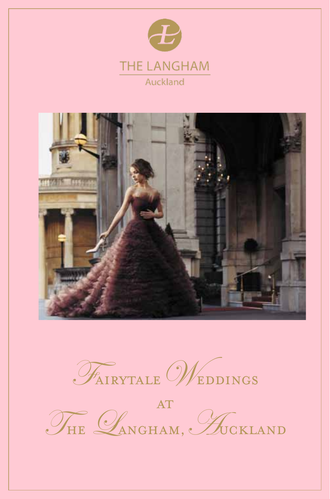





AT THE LANGHAM, AUCKLAND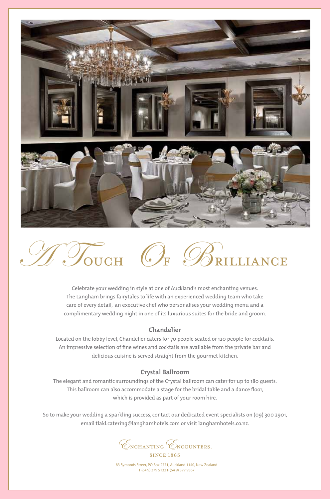



Celebrate your wedding in style at one of Auckland's most enchanting venues. The Langham brings fairytales to life with an experienced wedding team who take care of every detail, an executive chef who personalises your wedding menu and a complimentary wedding night in one of its luxurious suites for the bride and groom.

## **Chandelier**

Located on the lobby level, Chandelier caters for 70 people seated or 120 people for cocktails. An impressive selection of fine wines and cocktails are available from the private bar and delicious cuisine is served straight from the gourmet kitchen.

## **Crystal Ballroom**

The elegant and romantic surroundings of the Crystal ballroom can cater for up to 180 guests. This ballroom can also accommodate a stage for the bridal table and a dance floor, which is provided as part of your room hire.

So to make your wedding a sparkling success, contact our dedicated event specialists on (09) 300 2901, email tlakl.catering@langhamhotels.com or visit langhamhotels.co.nz.

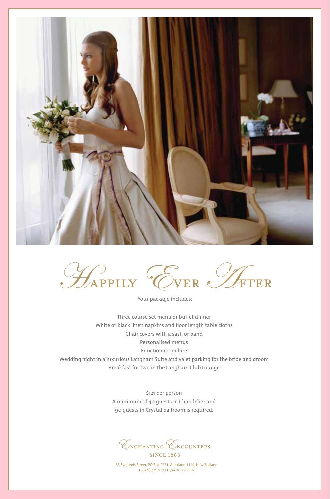



Your package includes:

Three course set menu or buffet dinner White or black linen napkins and floor length table cloths Chair covers with a sash or band Personalised menus Function room hire Wedding night in a luxurious Langham Suite and valet parking for the bride and groom Breakfast for two in the Langham Club Lounge

> \$121 per person A minimum of 40 guests in Chandelier and 90 guests in Crystal ballroom is required.

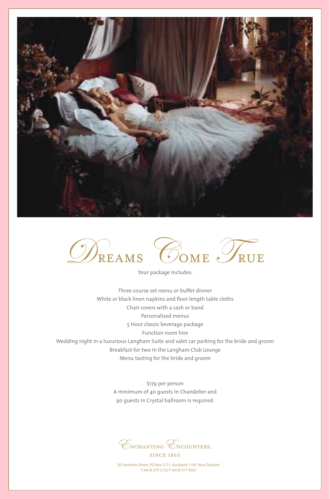



Your package includes:

Three course set menu or buffet dinner White or black linen napkins and floor length table cloths Chair covers with a sash or band Personalised menus 5 Hour classic beverage package Function room hire Wedding night in a luxurious Langham Suite and valet car parking for the bride and groom Breakfast for two in the Langham Club Lounge Menu tasting for the bride and groom

> \$179 per person A minimum of 40 guests in Chandelier and 90 guests in Crystal ballroom is required.